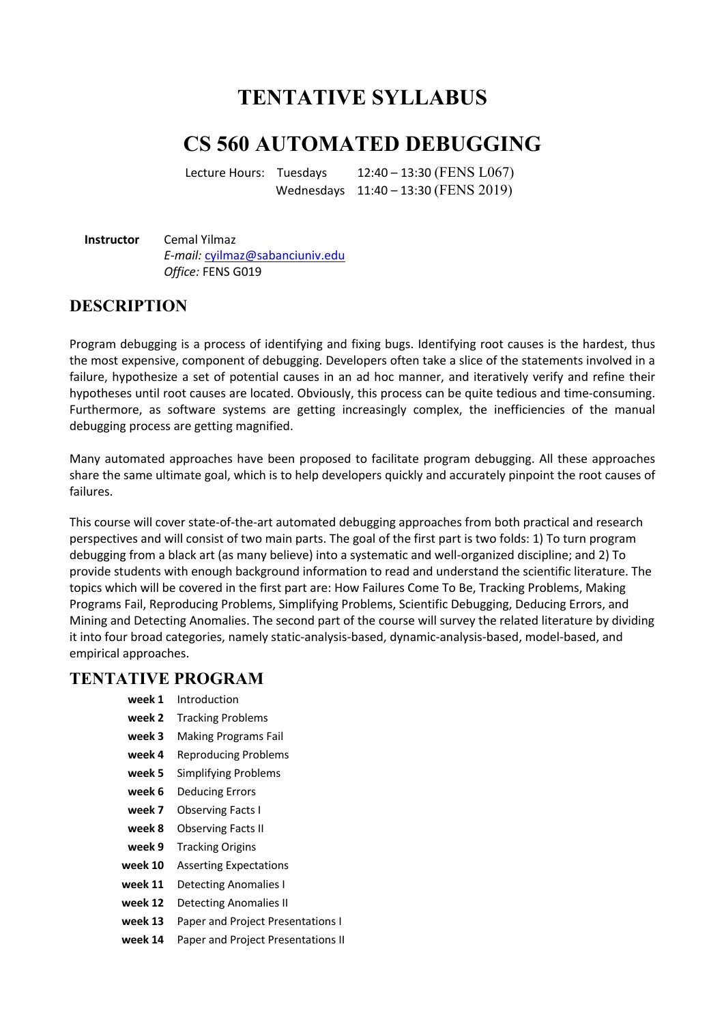# **TENTATIVE SYLLABUS**

## **CS 560 AUTOMATED DEBUGGING**

Lecture Hours: Tuesdays  $12:40 - 13:30$  (FENS L067) Wednesdays 11:40 – 13:30 (FENS 2019)

**Instructor** Cemal Yilmaz *E-mail:* cyilmaz@sabanciuniv.edu *Office:* FENS G019

#### **DESCRIPTION**

Program debugging is a process of identifying and fixing bugs. Identifying root causes is the hardest, thus the most expensive, component of debugging. Developers often take a slice of the statements involved in a failure, hypothesize a set of potential causes in an ad hoc manner, and iteratively verify and refine their hypotheses until root causes are located. Obviously, this process can be quite tedious and time-consuming. Furthermore, as software systems are getting increasingly complex, the inefficiencies of the manual debugging process are getting magnified.

Many automated approaches have been proposed to facilitate program debugging. All these approaches share the same ultimate goal, which is to help developers quickly and accurately pinpoint the root causes of failures.

This course will cover state-of-the-art automated debugging approaches from both practical and research perspectives and will consist of two main parts. The goal of the first part is two folds: 1) To turn program debugging from a black art (as many believe) into a systematic and well-organized discipline; and 2) To provide students with enough background information to read and understand the scientific literature. The topics which will be covered in the first part are: How Failures Come To Be, Tracking Problems, Making Programs Fail, Reproducing Problems, Simplifying Problems, Scientific Debugging, Deducing Errors, and Mining and Detecting Anomalies. The second part of the course will survey the related literature by dividing it into four broad categories, namely static-analysis-based, dynamic-analysis-based, model-based, and empirical approaches.

#### **TENTATIVE PROGRAM**

- **week 1** Introduction
- **week 2** Tracking Problems
- **week 3** Making Programs Fail
- **week 4** Reproducing Problems
- **week 5** Simplifying Problems
- **week 6** Deducing Errors
- **week 7** Observing Facts I
- **week 8** Observing Facts II
- **week 9** Tracking Origins
- **week 10** Asserting Expectations
- **week 11** Detecting Anomalies I
- **week 12** Detecting Anomalies II
- **week 13** Paper and Project Presentations I
- **week 14** Paper and Project Presentations II